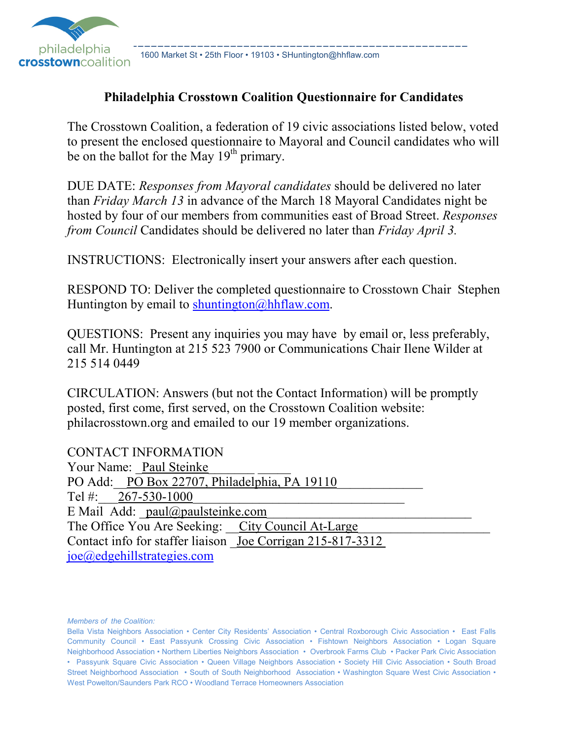

1600 Market St • 25th Floor • 19103 • SHuntington@hhflaw.com

### **Philadelphia Crosstown Coalition Questionnaire for Candidates**

The Crosstown Coalition, a federation of 19 civic associations listed below, voted to present the enclosed questionnaire to Mayoral and Council candidates who will be on the ballot for the May  $19<sup>th</sup>$  primary.

DUE DATE: *Responses from Mayoral candidates* should be delivered no later than *Friday March 13* in advance of the March 18 Mayoral Candidates night be hosted by four of our members from communities east of Broad Street. *Responses from Council* Candidates should be delivered no later than *Friday April 3.*

INSTRUCTIONS: Electronically insert your answers after each question.

RESPOND TO: Deliver the completed questionnaire to Crosstown Chair Stephen Huntington by email to shuntington@hhflaw.com.

QUESTIONS: Present any inquiries you may have by email or, less preferably, call Mr. Huntington at 215 523 7900 or Communications Chair Ilene Wilder at 215 514 0449

CIRCULATION: Answers (but not the Contact Information) will be promptly posted, first come, first served, on the Crosstown Coalition website: philacrosstown.org and emailed to our 19 member organizations.

| <b>CONTACT INFORMATION</b>                                 |
|------------------------------------------------------------|
| Your Name: Paul Steinke                                    |
| PO Add: PO Box 22707, Philadelphia, PA 19110               |
| Tel #: $267-530-1000$                                      |
| E Mail Add: paul@paulsteinke.com                           |
| The Office You Are Seeking: City Council At-Large          |
| Contact info for staffer liaison Joe Corrigan 215-817-3312 |
| joe@edgehillstrategies.com                                 |
|                                                            |

*Members of the Coalition:*

Bella Vista Neighbors Association • Center City Residents' Association • Central Roxborough Civic Association • East Falls Community Council • East Passyunk Crossing Civic Association • Fishtown Neighbors Association • Logan Square Neighborhood Association • Northern Liberties Neighbors Association • Overbrook Farms Club • Packer Park Civic Association • Passyunk Square Civic Association • Queen Village Neighbors Association • Society Hill Civic Association • South Broad Street Neighborhood Association • South of South Neighborhood Association • Washington Square West Civic Association • West Powelton/Saunders Park RCO • Woodland Terrace Homeowners Association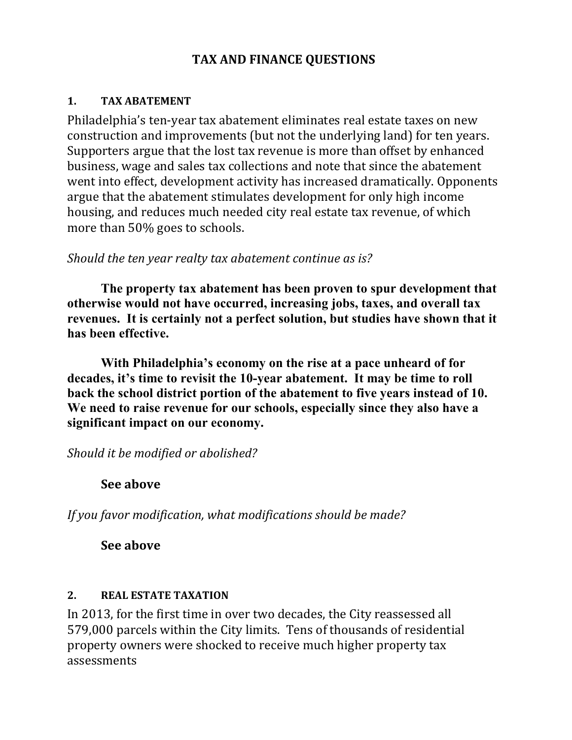## **TAX AND FINANCE QUESTIONS**

#### **1. TAX ABATEMENT**

Philadelphia's ten-year tax abatement eliminates real estate taxes on new construction and improvements (but not the underlying land) for ten years. Supporters argue that the lost tax revenue is more than offset by enhanced business, wage and sales tax collections and note that since the abatement went into effect, development activity has increased dramatically. Opponents argue that the abatement stimulates development for only high income housing, and reduces much needed city real estate tax revenue, of which more than 50% goes to schools.

### *Should the ten year realty tax abatement continue as is?*

**The property tax abatement has been proven to spur development that otherwise would not have occurred, increasing jobs, taxes, and overall tax revenues. It is certainly not a perfect solution, but studies have shown that it has been effective.** 

**With Philadelphia's economy on the rise at a pace unheard of for decades, it's time to revisit the 10-year abatement. It may be time to roll back the school district portion of the abatement to five years instead of 10. We need to raise revenue for our schools, especially since they also have a significant impact on our economy.**

*Should it be modified or abolished?* 

## **See above**

*If you favor modification, what modifications should be made?*

**See above** 

#### **2. REAL ESTATE TAXATION**

In 2013, for the first time in over two decades, the City reassessed all 579,000 parcels within the City limits. Tens of thousands of residential property owners were shocked to receive much higher property tax assessments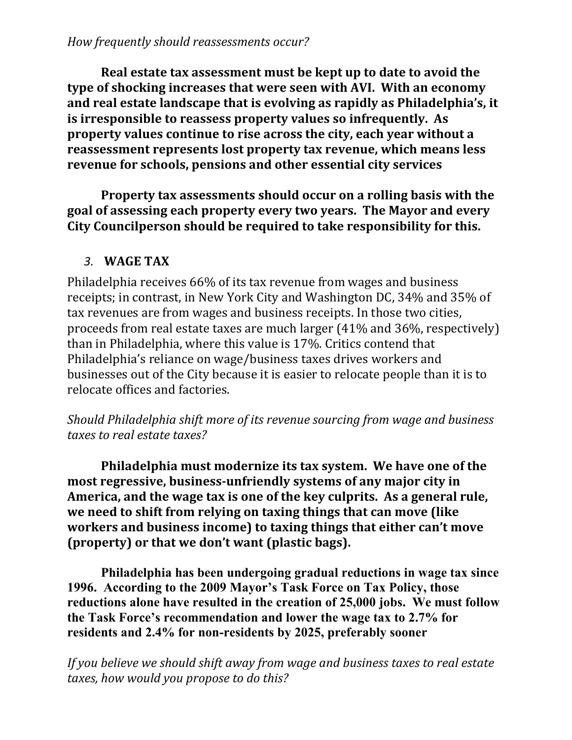**Real estate tax assessment must be kept up to date to avoid the type of shocking increases that were seen with AVI. With an economy and real estate landscape that is evolving as rapidly as Philadelphia's, it is irresponsible to reassess property values so infrequently. As property values continue to rise across the city, each year without a reassessment represents lost property tax revenue, which means less revenue for schools, pensions and other essential city services** 

 **Property tax assessments should occur on a rolling basis with the goal of assessing each property every two years. The Mayor and every City Councilperson should be required to take responsibility for this.** 

## *3.* **WAGE TAX**

Philadelphia receives 66% of its tax revenue from wages and business receipts; in contrast, in New York City and Washington DC, 34% and 35% of tax revenues are from wages and business receipts. In those two cities, proceeds from real estate taxes are much larger (41% and 36%, respectively) than in Philadelphia, where this value is 17%. Critics contend that Philadelphia's reliance on wage/business taxes drives workers and businesses out of the City because it is easier to relocate people than it is to relocate offices and factories.

*Should Philadelphia shift more of its revenue sourcing from wage and business taxes to real estate taxes?* 

 **Philadelphia must modernize its tax system. We have one of the most regressive, business-unfriendly systems of any major city in America, and the wage tax is one of the key culprits. As a general rule, we need to shift from relying on taxing things that can move (like workers and business income) to taxing things that either can't move (property) or that we don't want (plastic bags).** 

**Philadelphia has been undergoing gradual reductions in wage tax since 1996. According to the 2009 Mayor's Task Force on Tax Policy, those reductions alone have resulted in the creation of 25,000 jobs. We must follow the Task Force's recommendation and lower the wage tax to 2.7% for residents and 2.4% for non-residents by 2025, preferably sooner**

*If you believe we should shift away from wage and business taxes to real estate taxes, how would you propose to do this?*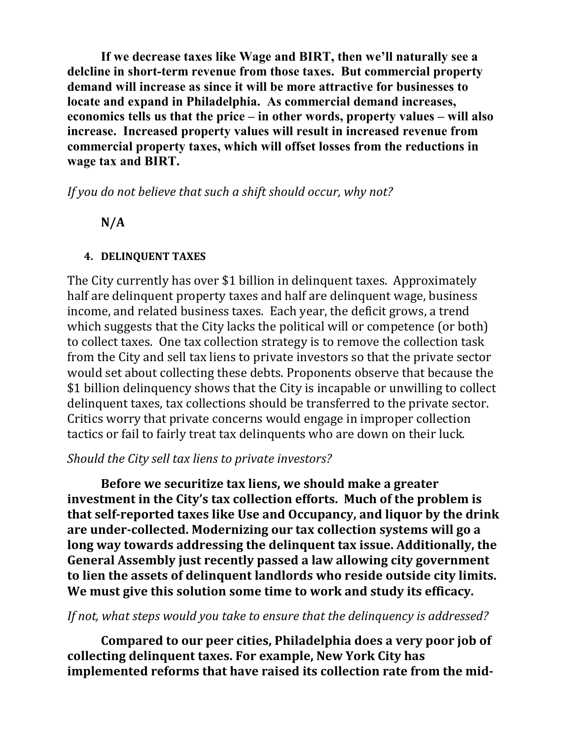**If we decrease taxes like Wage and BIRT, then we'll naturally see a delcline in short-term revenue from those taxes. But commercial property demand will increase as since it will be more attractive for businesses to locate and expand in Philadelphia. As commercial demand increases, economics tells us that the price – in other words, property values – will also increase. Increased property values will result in increased revenue from commercial property taxes, which will offset losses from the reductions in wage tax and BIRT.** 

*If you do not believe that such a shift should occur, why not?* 

## **N/A**

## **4. DELINQUENT TAXES**

The City currently has over \$1 billion in delinquent taxes. Approximately half are delinquent property taxes and half are delinquent wage, business income, and related business taxes. Each year, the deficit grows, a trend which suggests that the City lacks the political will or competence (or both) to collect taxes. One tax collection strategy is to remove the collection task from the City and sell tax liens to private investors so that the private sector would set about collecting these debts. Proponents observe that because the \$1 billion delinquency shows that the City is incapable or unwilling to collect delinquent taxes, tax collections should be transferred to the private sector. Critics worry that private concerns would engage in improper collection tactics or fail to fairly treat tax delinquents who are down on their luck.

## *Should the City sell tax liens to private investors?*

**Before we securitize tax liens, we should make a greater investment in the City's tax collection efforts. Much of the problem is that self-reported taxes like Use and Occupancy, and liquor by the drink are under-collected. Modernizing our tax collection systems will go a long way towards addressing the delinquent tax issue. Additionally, the General Assembly just recently passed a law allowing city government to lien the assets of delinquent landlords who reside outside city limits. We must give this solution some time to work and study its efficacy.** 

## *If not, what steps would you take to ensure that the delinquency is addressed?*

 **Compared to our peer cities, Philadelphia does a very poor job of collecting delinquent taxes. For example, New York City has implemented reforms that have raised its collection rate from the mid-**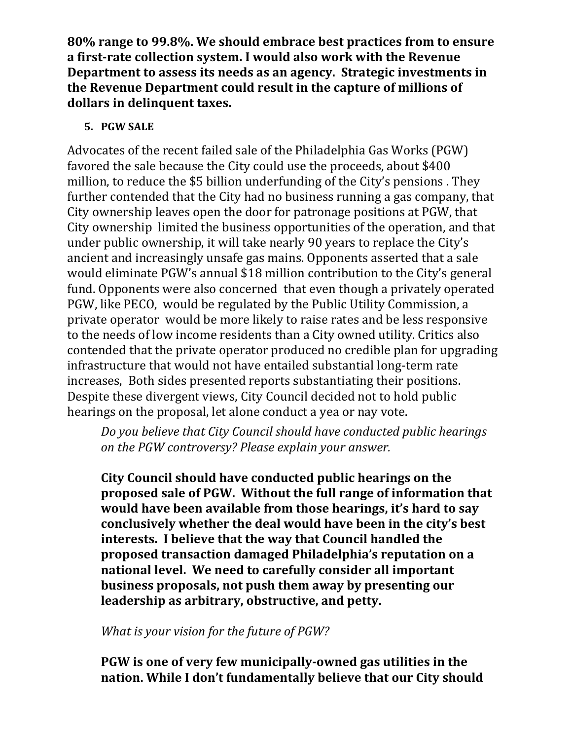**80% range to 99.8%. We should embrace best practices from to ensure a first-rate collection system. I would also work with the Revenue Department to assess its needs as an agency. Strategic investments in the Revenue Department could result in the capture of millions of dollars in delinquent taxes.** 

### **5. PGW SALE**

Advocates of the recent failed sale of the Philadelphia Gas Works (PGW) favored the sale because the City could use the proceeds, about \$400 million, to reduce the \$5 billion underfunding of the City's pensions . They further contended that the City had no business running a gas company, that City ownership leaves open the door for patronage positions at PGW, that City ownership limited the business opportunities of the operation, and that under public ownership, it will take nearly 90 years to replace the City's ancient and increasingly unsafe gas mains. Opponents asserted that a sale would eliminate PGW's annual \$18 million contribution to the City's general fund. Opponents were also concerned that even though a privately operated PGW, like PECO, would be regulated by the Public Utility Commission, a private operator would be more likely to raise rates and be less responsive to the needs of low income residents than a City owned utility. Critics also contended that the private operator produced no credible plan for upgrading infrastructure that would not have entailed substantial long-term rate increases, Both sides presented reports substantiating their positions. Despite these divergent views, City Council decided not to hold public hearings on the proposal, let alone conduct a yea or nay vote.

*Do you believe that City Council should have conducted public hearings on the PGW controversy? Please explain your answer.* 

**City Council should have conducted public hearings on the proposed sale of PGW. Without the full range of information that would have been available from those hearings, it's hard to say conclusively whether the deal would have been in the city's best interests. I believe that the way that Council handled the proposed transaction damaged Philadelphia's reputation on a national level. We need to carefully consider all important business proposals, not push them away by presenting our leadership as arbitrary, obstructive, and petty.** 

*What is your vision for the future of PGW?* 

**PGW is one of very few municipally-owned gas utilities in the nation. While I don't fundamentally believe that our City should**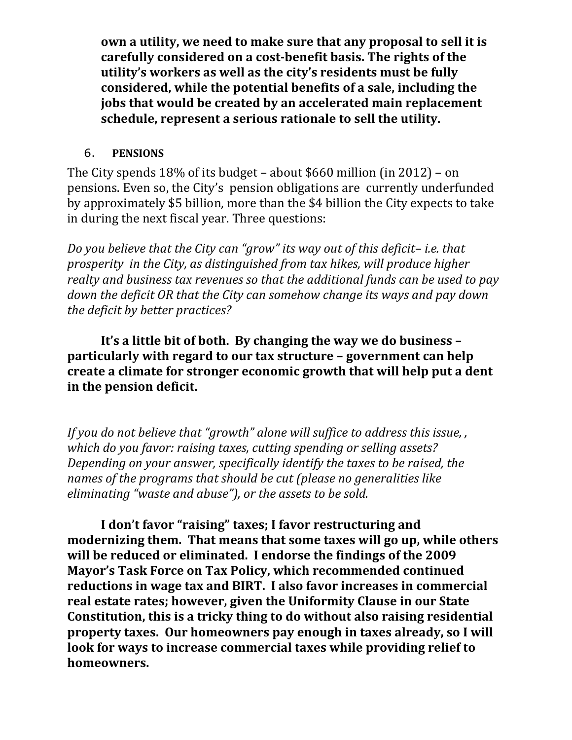**own a utility, we need to make sure that any proposal to sell it is carefully considered on a cost-benefit basis. The rights of the utility's workers as well as the city's residents must be fully considered, while the potential benefits of a sale, including the jobs that would be created by an accelerated main replacement schedule, represent a serious rationale to sell the utility.** 

## 6. **PENSIONS**

The City spends 18% of its budget – about \$660 million (in 2012) – on pensions. Even so, the City's pension obligations are currently underfunded by approximately \$5 billion, more than the \$4 billion the City expects to take in during the next fiscal year. Three questions:

*Do you believe that the City can "grow" its way out of this deficit– i.e. that prosperity in the City, as distinguished from tax hikes, will produce higher realty and business tax revenues so that the additional funds can be used to pay down the deficit OR that the City can somehow change its ways and pay down the deficit by better practices?* 

 **It's a little bit of both. By changing the way we do business – particularly with regard to our tax structure – government can help create a climate for stronger economic growth that will help put a dent in the pension deficit.** 

*If you do not believe that "growth" alone will suffice to address this issue, , which do you favor: raising taxes, cutting spending or selling assets? Depending on your answer, specifically identify the taxes to be raised, the names of the programs that should be cut (please no generalities like eliminating "waste and abuse"), or the assets to be sold.* 

 **I don't favor "raising" taxes; I favor restructuring and modernizing them. That means that some taxes will go up, while others will be reduced or eliminated. I endorse the findings of the 2009 Mayor's Task Force on Tax Policy, which recommended continued reductions in wage tax and BIRT. I also favor increases in commercial real estate rates; however, given the Uniformity Clause in our State Constitution, this is a tricky thing to do without also raising residential property taxes. Our homeowners pay enough in taxes already, so I will look for ways to increase commercial taxes while providing relief to homeowners.**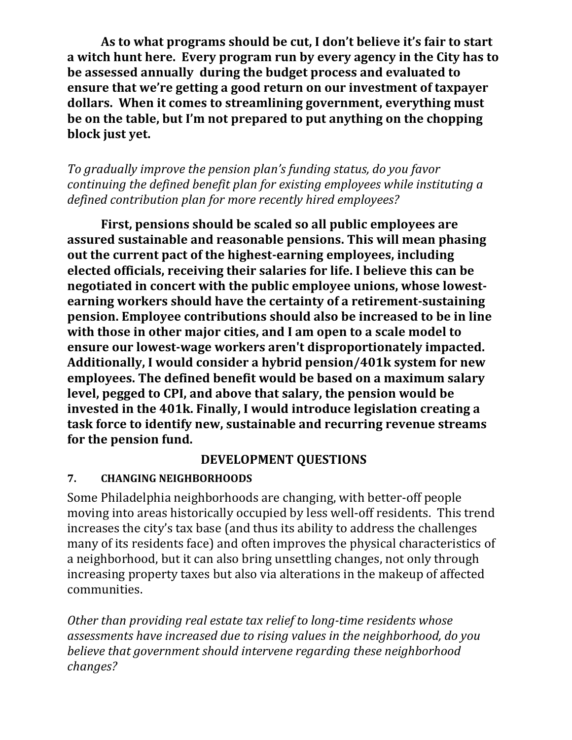**As to what programs should be cut, I don't believe it's fair to start a witch hunt here. Every program run by every agency in the City has to be assessed annually during the budget process and evaluated to ensure that we're getting a good return on our investment of taxpayer dollars. When it comes to streamlining government, everything must be on the table, but I'm not prepared to put anything on the chopping block just yet.** 

*To gradually improve the pension plan's funding status, do you favor continuing the defined benefit plan for existing employees while instituting a defined contribution plan for more recently hired employees?* 

 **First, pensions should be scaled so all public employees are assured sustainable and reasonable pensions. This will mean phasing out the current pact of the highest-earning employees, including elected officials, receiving their salaries for life. I believe this can be negotiated in concert with the public employee unions, whose lowestearning workers should have the certainty of a retirement-sustaining pension. Employee contributions should also be increased to be in line with those in other major cities, and I am open to a scale model to ensure our lowest-wage workers aren't disproportionately impacted. Additionally, I would consider a hybrid pension/401k system for new employees. The defined benefit would be based on a maximum salary level, pegged to CPI, and above that salary, the pension would be invested in the 401k. Finally, I would introduce legislation creating a task force to identify new, sustainable and recurring revenue streams for the pension fund.**

### **DEVELOPMENT QUESTIONS**

## **7. CHANGING NEIGHBORHOODS**

Some Philadelphia neighborhoods are changing, with better-off people moving into areas historically occupied by less well-off residents. This trend increases the city's tax base (and thus its ability to address the challenges many of its residents face) and often improves the physical characteristics of a neighborhood, but it can also bring unsettling changes, not only through increasing property taxes but also via alterations in the makeup of affected communities.

*Other than providing real estate tax relief to long-time residents whose assessments have increased due to rising values in the neighborhood, do you believe that government should intervene regarding these neighborhood changes?*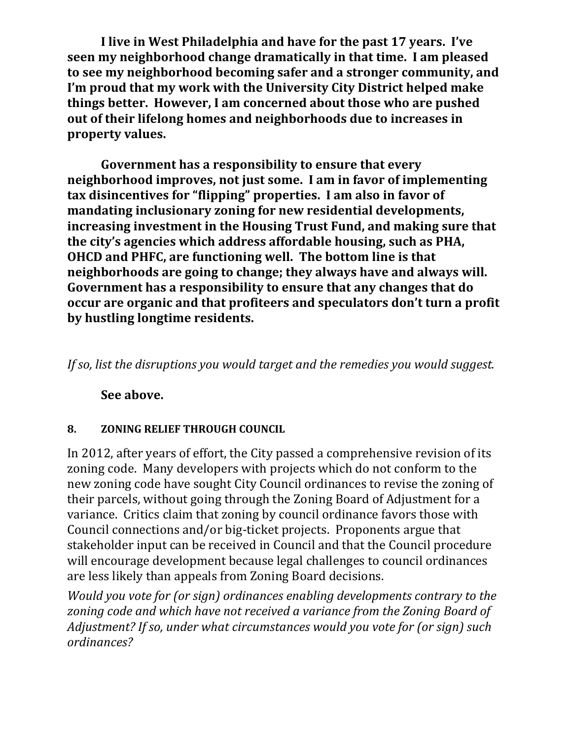**I live in West Philadelphia and have for the past 17 years. I've seen my neighborhood change dramatically in that time. I am pleased to see my neighborhood becoming safer and a stronger community, and I'm proud that my work with the University City District helped make things better. However, I am concerned about those who are pushed out of their lifelong homes and neighborhoods due to increases in property values.** 

 **Government has a responsibility to ensure that every neighborhood improves, not just some. I am in favor of implementing tax disincentives for "flipping" properties. I am also in favor of mandating inclusionary zoning for new residential developments, increasing investment in the Housing Trust Fund, and making sure that the city's agencies which address affordable housing, such as PHA, OHCD and PHFC, are functioning well. The bottom line is that neighborhoods are going to change; they always have and always will. Government has a responsibility to ensure that any changes that do occur are organic and that profiteers and speculators don't turn a profit by hustling longtime residents.** 

*If so, list the disruptions you would target and the remedies you would suggest.*

## **See above.**

#### **8. ZONING RELIEF THROUGH COUNCIL**

In 2012, after years of effort, the City passed a comprehensive revision of its zoning code. Many developers with projects which do not conform to the new zoning code have sought City Council ordinances to revise the zoning of their parcels, without going through the Zoning Board of Adjustment for a variance. Critics claim that zoning by council ordinance favors those with Council connections and/or big-ticket projects. Proponents argue that stakeholder input can be received in Council and that the Council procedure will encourage development because legal challenges to council ordinances are less likely than appeals from Zoning Board decisions.

*Would you vote for (or sign) ordinances enabling developments contrary to the zoning code and which have not received a variance from the Zoning Board of Adjustment? If so, under what circumstances would you vote for (or sign) such ordinances?*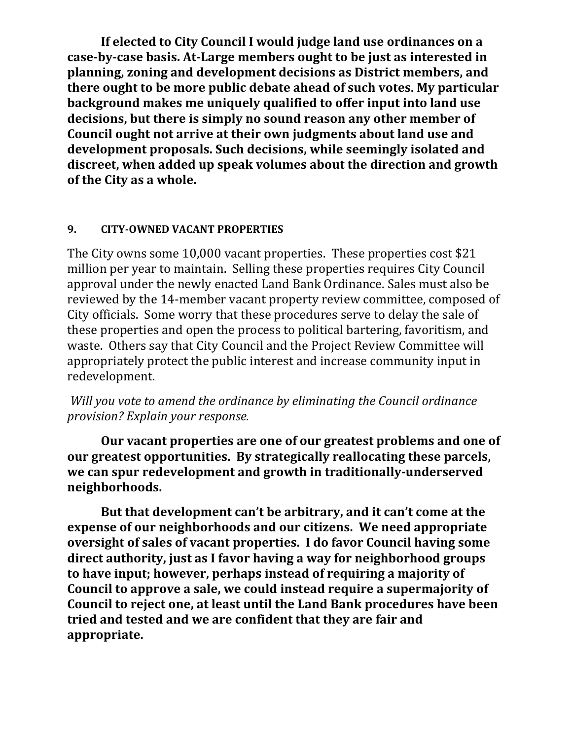**If elected to City Council I would judge land use ordinances on a case-by-case basis. At-Large members ought to be just as interested in planning, zoning and development decisions as District members, and there ought to be more public debate ahead of such votes. My particular background makes me uniquely qualified to offer input into land use decisions, but there is simply no sound reason any other member of Council ought not arrive at their own judgments about land use and development proposals. Such decisions, while seemingly isolated and discreet, when added up speak volumes about the direction and growth of the City as a whole.** 

#### **9. CITY-OWNED VACANT PROPERTIES**

The City owns some 10,000 vacant properties. These properties cost \$21 million per year to maintain. Selling these properties requires City Council approval under the newly enacted Land Bank Ordinance. Sales must also be reviewed by the 14-member vacant property review committee, composed of City officials. Some worry that these procedures serve to delay the sale of these properties and open the process to political bartering, favoritism, and waste. Others say that City Council and the Project Review Committee will appropriately protect the public interest and increase community input in redevelopment.

*Will you vote to amend the ordinance by eliminating the Council ordinance provision? Explain your response.* 

 **Our vacant properties are one of our greatest problems and one of our greatest opportunities. By strategically reallocating these parcels, we can spur redevelopment and growth in traditionally-underserved neighborhoods.** 

 **But that development can't be arbitrary, and it can't come at the expense of our neighborhoods and our citizens. We need appropriate oversight of sales of vacant properties. I do favor Council having some direct authority, just as I favor having a way for neighborhood groups to have input; however, perhaps instead of requiring a majority of Council to approve a sale, we could instead require a supermajority of Council to reject one, at least until the Land Bank procedures have been tried and tested and we are confident that they are fair and appropriate.**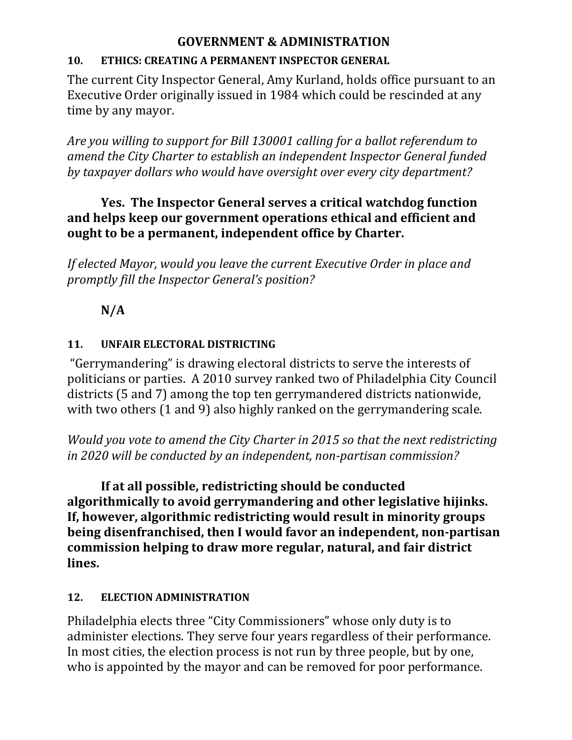## **GOVERNMENT & ADMINISTRATION**

## **10. ETHICS: CREATING A PERMANENT INSPECTOR GENERAL**

The current City Inspector General, Amy Kurland, holds office pursuant to an Executive Order originally issued in 1984 which could be rescinded at any time by any mayor.

*Are you willing to support for Bill 130001 calling for a ballot referendum to amend the City Charter to establish an independent Inspector General funded by taxpayer dollars who would have oversight over every city department?* 

## **Yes. The Inspector General serves a critical watchdog function and helps keep our government operations ethical and efficient and ought to be a permanent, independent office by Charter.**

*If elected Mayor, would you leave the current Executive Order in place and promptly fill the Inspector General's position?* 

# **N/A**

## **11. UNFAIR ELECTORAL DISTRICTING**

 "Gerrymandering" is drawing electoral districts to serve the interests of politicians or parties. A 2010 survey ranked two of Philadelphia City Council districts (5 and 7) among the top ten gerrymandered districts nationwide, with two others (1 and 9) also highly ranked on the gerrymandering scale.

*Would you vote to amend the City Charter in 2015 so that the next redistricting in 2020 will be conducted by an independent, non-partisan commission?* 

 **If at all possible, redistricting should be conducted algorithmically to avoid gerrymandering and other legislative hijinks. If, however, algorithmic redistricting would result in minority groups being disenfranchised, then I would favor an independent, non-partisan commission helping to draw more regular, natural, and fair district lines.** 

## **12. ELECTION ADMINISTRATION**

Philadelphia elects three "City Commissioners" whose only duty is to administer elections. They serve four years regardless of their performance. In most cities, the election process is not run by three people, but by one, who is appointed by the mayor and can be removed for poor performance.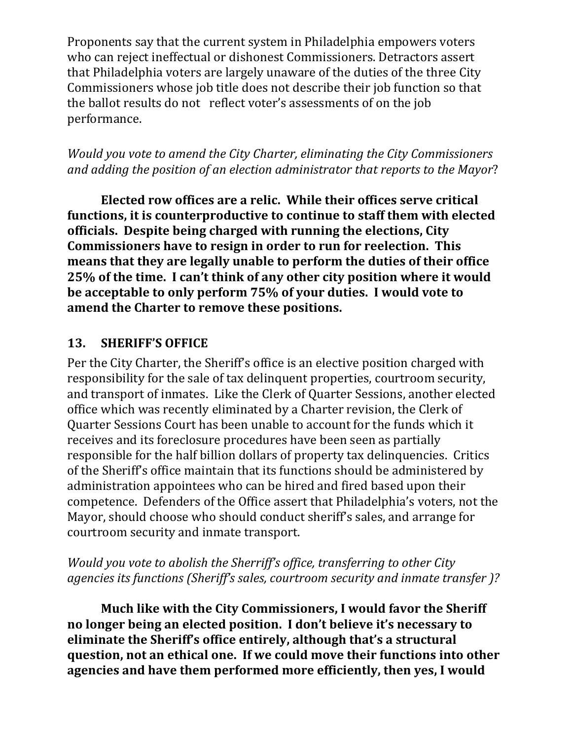Proponents say that the current system in Philadelphia empowers voters who can reject ineffectual or dishonest Commissioners. Detractors assert that Philadelphia voters are largely unaware of the duties of the three City Commissioners whose job title does not describe their job function so that the ballot results do not reflect voter's assessments of on the job performance.

*Would you vote to amend the City Charter, eliminating the City Commissioners and adding the position of an election administrator that reports to the Mayor*?

 **Elected row offices are a relic. While their offices serve critical functions, it is counterproductive to continue to staff them with elected officials. Despite being charged with running the elections, City Commissioners have to resign in order to run for reelection. This means that they are legally unable to perform the duties of their office 25% of the time. I can't think of any other city position where it would be acceptable to only perform 75% of your duties. I would vote to amend the Charter to remove these positions.** 

## **13. SHERIFF'S OFFICE**

Per the City Charter, the Sheriff's office is an elective position charged with responsibility for the sale of tax delinquent properties, courtroom security, and transport of inmates. Like the Clerk of Quarter Sessions, another elected office which was recently eliminated by a Charter revision, the Clerk of Quarter Sessions Court has been unable to account for the funds which it receives and its foreclosure procedures have been seen as partially responsible for the half billion dollars of property tax delinquencies. Critics of the Sheriff's office maintain that its functions should be administered by administration appointees who can be hired and fired based upon their competence. Defenders of the Office assert that Philadelphia's voters, not the Mayor, should choose who should conduct sheriff's sales, and arrange for courtroom security and inmate transport.

*Would you vote to abolish the Sherriff's office, transferring to other City agencies its functions (Sheriff's sales, courtroom security and inmate transfer )?* 

 **Much like with the City Commissioners, I would favor the Sheriff no longer being an elected position. I don't believe it's necessary to eliminate the Sheriff's office entirely, although that's a structural question, not an ethical one. If we could move their functions into other agencies and have them performed more efficiently, then yes, I would**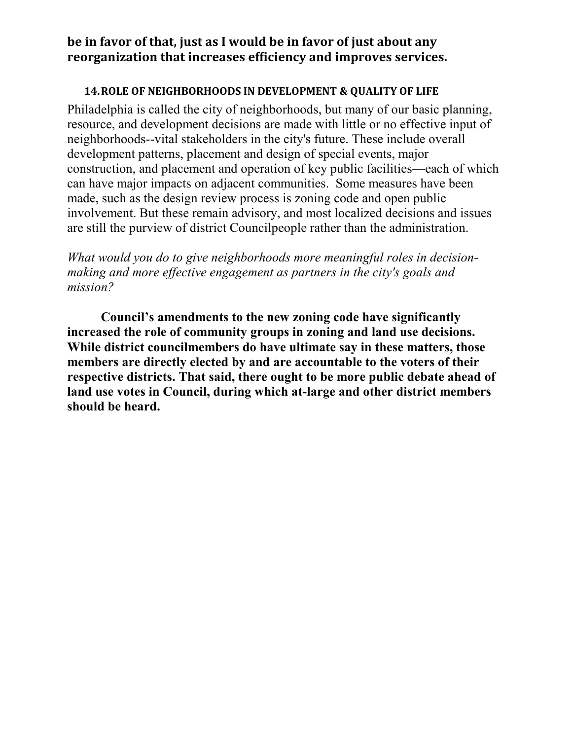## **be in favor of that, just as I would be in favor of just about any reorganization that increases efficiency and improves services.**

#### **14.ROLE OF NEIGHBORHOODS IN DEVELOPMENT & QUALITY OF LIFE**

Philadelphia is called the city of neighborhoods, but many of our basic planning, resource, and development decisions are made with little or no effective input of neighborhoods--vital stakeholders in the city's future. These include overall development patterns, placement and design of special events, major construction, and placement and operation of key public facilities—each of which can have major impacts on adjacent communities. Some measures have been made, such as the design review process is zoning code and open public involvement. But these remain advisory, and most localized decisions and issues are still the purview of district Councilpeople rather than the administration.

*What would you do to give neighborhoods more meaningful roles in decisionmaking and more effective engagement as partners in the city's goals and mission?* 

 **Council's amendments to the new zoning code have significantly increased the role of community groups in zoning and land use decisions. While district councilmembers do have ultimate say in these matters, those members are directly elected by and are accountable to the voters of their respective districts. That said, there ought to be more public debate ahead of land use votes in Council, during which at-large and other district members should be heard.**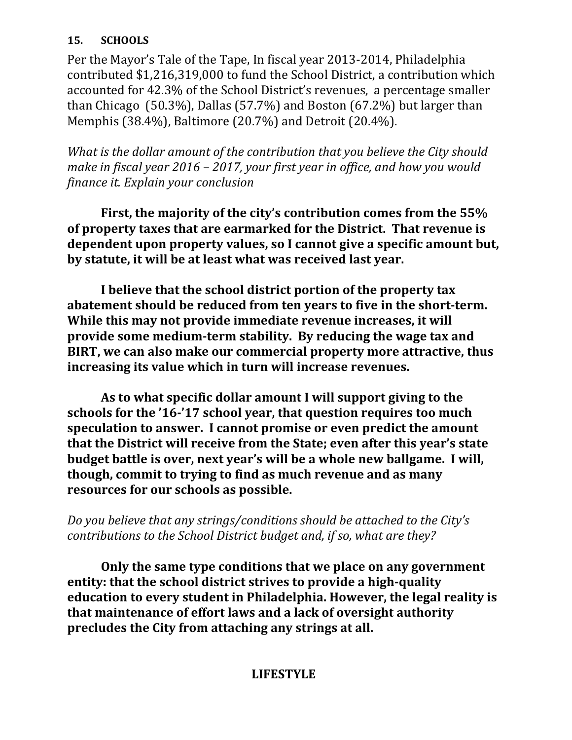#### **15. SCHOOLS**

Per the Mayor's Tale of the Tape, In fiscal year 2013-2014, Philadelphia contributed \$1,216,319,000 to fund the School District, a contribution which accounted for 42.3% of the School District's revenues, a percentage smaller than Chicago (50.3%), Dallas (57.7%) and Boston (67.2%) but larger than Memphis (38.4%), Baltimore (20.7%) and Detroit (20.4%).

*What is the dollar amount of the contribution that you believe the City should make in fiscal year 2016 – 2017, your first year in office, and how you would finance it. Explain your conclusion* 

 **First, the majority of the city's contribution comes from the 55% of property taxes that are earmarked for the District. That revenue is dependent upon property values, so I cannot give a specific amount but, by statute, it will be at least what was received last year.** 

 **I believe that the school district portion of the property tax abatement should be reduced from ten years to five in the short-term. While this may not provide immediate revenue increases, it will provide some medium-term stability. By reducing the wage tax and BIRT, we can also make our commercial property more attractive, thus increasing its value which in turn will increase revenues.** 

 **As to what specific dollar amount I will support giving to the schools for the '16-'17 school year, that question requires too much speculation to answer. I cannot promise or even predict the amount that the District will receive from the State; even after this year's state budget battle is over, next year's will be a whole new ballgame. I will, though, commit to trying to find as much revenue and as many resources for our schools as possible.** 

*Do you believe that any strings/conditions should be attached to the City's contributions to the School District budget and, if so, what are they?* 

 **Only the same type conditions that we place on any government entity: that the school district strives to provide a high-quality education to every student in Philadelphia. However, the legal reality is that maintenance of effort laws and a lack of oversight authority precludes the City from attaching any strings at all.** 

## **LIFESTYLE**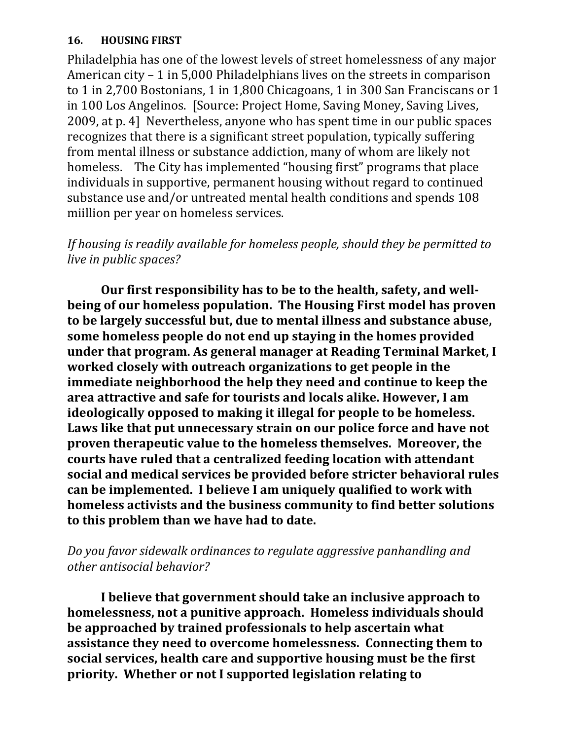#### **16. HOUSING FIRST**

Philadelphia has one of the lowest levels of street homelessness of any major American city – 1 in 5,000 Philadelphians lives on the streets in comparison to 1 in 2,700 Bostonians, 1 in 1,800 Chicagoans, 1 in 300 San Franciscans or 1 in 100 Los Angelinos. [Source: Project Home, Saving Money, Saving Lives, 2009, at p. 4] Nevertheless, anyone who has spent time in our public spaces recognizes that there is a significant street population, typically suffering from mental illness or substance addiction, many of whom are likely not homeless. The City has implemented "housing first" programs that place individuals in supportive, permanent housing without regard to continued substance use and/or untreated mental health conditions and spends 108 miillion per year on homeless services.

## *If housing is readily available for homeless people, should they be permitted to live in public spaces?*

 **Our first responsibility has to be to the health, safety, and wellbeing of our homeless population. The Housing First model has proven to be largely successful but, due to mental illness and substance abuse, some homeless people do not end up staying in the homes provided under that program. As general manager at Reading Terminal Market, I worked closely with outreach organizations to get people in the immediate neighborhood the help they need and continue to keep the area attractive and safe for tourists and locals alike. However, I am ideologically opposed to making it illegal for people to be homeless. Laws like that put unnecessary strain on our police force and have not proven therapeutic value to the homeless themselves. Moreover, the courts have ruled that a centralized feeding location with attendant social and medical services be provided before stricter behavioral rules can be implemented. I believe I am uniquely qualified to work with homeless activists and the business community to find better solutions to this problem than we have had to date.** 

## *Do you favor sidewalk ordinances to regulate aggressive panhandling and other antisocial behavior?*

 **I believe that government should take an inclusive approach to homelessness, not a punitive approach. Homeless individuals should be approached by trained professionals to help ascertain what assistance they need to overcome homelessness. Connecting them to social services, health care and supportive housing must be the first priority. Whether or not I supported legislation relating to**